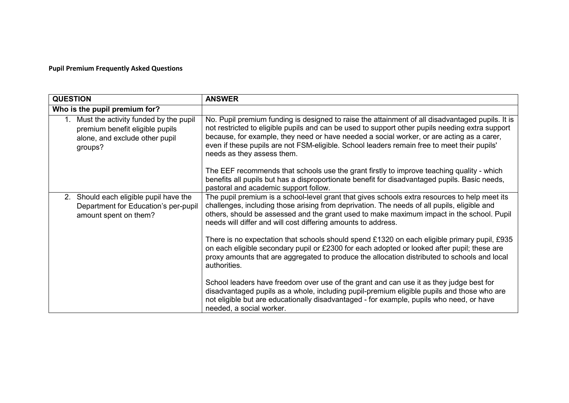## **Pupil Premium Frequently Asked Questions**

| <b>QUESTION</b>                                                                                                       | <b>ANSWER</b>                                                                                                                                                                                                                                                                                                                                                                                                                 |
|-----------------------------------------------------------------------------------------------------------------------|-------------------------------------------------------------------------------------------------------------------------------------------------------------------------------------------------------------------------------------------------------------------------------------------------------------------------------------------------------------------------------------------------------------------------------|
| Who is the pupil premium for?                                                                                         |                                                                                                                                                                                                                                                                                                                                                                                                                               |
| Must the activity funded by the pupil<br>premium benefit eligible pupils<br>alone, and exclude other pupil<br>groups? | No. Pupil premium funding is designed to raise the attainment of all disadvantaged pupils. It is<br>not restricted to eligible pupils and can be used to support other pupils needing extra support<br>because, for example, they need or have needed a social worker, or are acting as a carer,<br>even if these pupils are not FSM-eligible. School leaders remain free to meet their pupils'<br>needs as they assess them. |
|                                                                                                                       | The EEF recommends that schools use the grant firstly to improve teaching quality - which<br>benefits all pupils but has a disproportionate benefit for disadvantaged pupils. Basic needs,<br>pastoral and academic support follow.                                                                                                                                                                                           |
| 2. Should each eligible pupil have the<br>Department for Education's per-pupil<br>amount spent on them?               | The pupil premium is a school-level grant that gives schools extra resources to help meet its<br>challenges, including those arising from deprivation. The needs of all pupils, eligible and<br>others, should be assessed and the grant used to make maximum impact in the school. Pupil<br>needs will differ and will cost differing amounts to address.                                                                    |
|                                                                                                                       | There is no expectation that schools should spend £1320 on each eligible primary pupil, £935<br>on each eligible secondary pupil or £2300 for each adopted or looked after pupil; these are<br>proxy amounts that are aggregated to produce the allocation distributed to schools and local<br>authorities.                                                                                                                   |
|                                                                                                                       | School leaders have freedom over use of the grant and can use it as they judge best for<br>disadvantaged pupils as a whole, including pupil-premium eligible pupils and those who are<br>not eligible but are educationally disadvantaged - for example, pupils who need, or have<br>needed, a social worker.                                                                                                                 |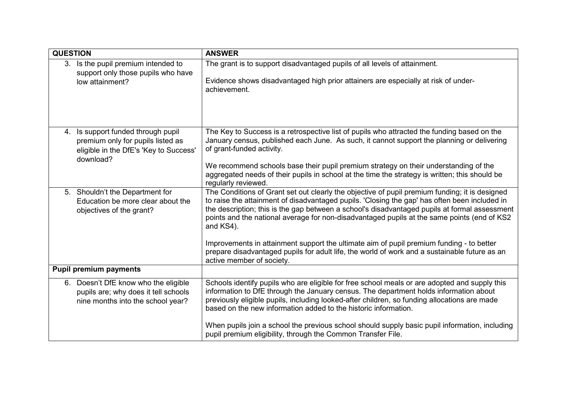| <b>QUESTION</b> |                                                                                                                             | <b>ANSWER</b>                                                                                                                                                                                                                                                                                                                                                                                                                                                                                                                                                                                                                          |
|-----------------|-----------------------------------------------------------------------------------------------------------------------------|----------------------------------------------------------------------------------------------------------------------------------------------------------------------------------------------------------------------------------------------------------------------------------------------------------------------------------------------------------------------------------------------------------------------------------------------------------------------------------------------------------------------------------------------------------------------------------------------------------------------------------------|
|                 | 3. Is the pupil premium intended to<br>support only those pupils who have<br>low attainment?                                | The grant is to support disadvantaged pupils of all levels of attainment.<br>Evidence shows disadvantaged high prior attainers are especially at risk of under-<br>achievement.                                                                                                                                                                                                                                                                                                                                                                                                                                                        |
| 4.              | Is support funded through pupil<br>premium only for pupils listed as<br>eligible in the DfE's 'Key to Success'<br>download? | The Key to Success is a retrospective list of pupils who attracted the funding based on the<br>January census, published each June. As such, it cannot support the planning or delivering<br>of grant-funded activity.<br>We recommend schools base their pupil premium strategy on their understanding of the<br>aggregated needs of their pupils in school at the time the strategy is written; this should be<br>regularly reviewed.                                                                                                                                                                                                |
|                 | 5. Shouldn't the Department for<br>Education be more clear about the<br>objectives of the grant?                            | The Conditions of Grant set out clearly the objective of pupil premium funding; it is designed<br>to raise the attainment of disadvantaged pupils. 'Closing the gap' has often been included in<br>the description; this is the gap between a school's disadvantaged pupils at formal assessment<br>points and the national average for non-disadvantaged pupils at the same points (end of KS2<br>and KS4).<br>Improvements in attainment support the ultimate aim of pupil premium funding - to better<br>prepare disadvantaged pupils for adult life, the world of work and a sustainable future as an<br>active member of society. |
|                 | <b>Pupil premium payments</b>                                                                                               |                                                                                                                                                                                                                                                                                                                                                                                                                                                                                                                                                                                                                                        |
|                 | 6. Doesn't DfE know who the eligible<br>pupils are; why does it tell schools<br>nine months into the school year?           | Schools identify pupils who are eligible for free school meals or are adopted and supply this<br>information to DfE through the January census. The department holds information about<br>previously eligible pupils, including looked-after children, so funding allocations are made<br>based on the new information added to the historic information.<br>When pupils join a school the previous school should supply basic pupil information, including<br>pupil premium eligibility, through the Common Transfer File.                                                                                                            |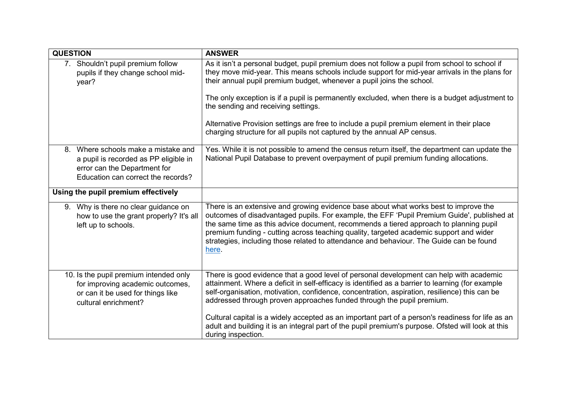| <b>QUESTION</b> |                                                                                                                                                    | <b>ANSWER</b>                                                                                                                                                                                                                                                                                                                                                                                                                                                             |
|-----------------|----------------------------------------------------------------------------------------------------------------------------------------------------|---------------------------------------------------------------------------------------------------------------------------------------------------------------------------------------------------------------------------------------------------------------------------------------------------------------------------------------------------------------------------------------------------------------------------------------------------------------------------|
|                 | 7. Shouldn't pupil premium follow<br>pupils if they change school mid-<br>year?                                                                    | As it isn't a personal budget, pupil premium does not follow a pupil from school to school if<br>they move mid-year. This means schools include support for mid-year arrivals in the plans for<br>their annual pupil premium budget, whenever a pupil joins the school.<br>The only exception is if a pupil is permanently excluded, when there is a budget adjustment to<br>the sending and receiving settings.                                                          |
|                 |                                                                                                                                                    | Alternative Provision settings are free to include a pupil premium element in their place<br>charging structure for all pupils not captured by the annual AP census.                                                                                                                                                                                                                                                                                                      |
|                 | 8. Where schools make a mistake and<br>a pupil is recorded as PP eligible in<br>error can the Department for<br>Education can correct the records? | Yes. While it is not possible to amend the census return itself, the department can update the<br>National Pupil Database to prevent overpayment of pupil premium funding allocations.                                                                                                                                                                                                                                                                                    |
|                 | Using the pupil premium effectively                                                                                                                |                                                                                                                                                                                                                                                                                                                                                                                                                                                                           |
|                 | 9. Why is there no clear guidance on<br>how to use the grant properly? It's all<br>left up to schools.                                             | There is an extensive and growing evidence base about what works best to improve the<br>outcomes of disadvantaged pupils. For example, the EFF 'Pupil Premium Guide', published at<br>the same time as this advice document, recommends a tiered approach to planning pupil<br>premium funding - cutting across teaching quality, targeted academic support and wider<br>strategies, including those related to attendance and behaviour. The Guide can be found<br>here. |
|                 | 10. Is the pupil premium intended only<br>for improving academic outcomes,<br>or can it be used for things like<br>cultural enrichment?            | There is good evidence that a good level of personal development can help with academic<br>attainment. Where a deficit in self-efficacy is identified as a barrier to learning (for example<br>self-organisation, motivation, confidence, concentration, aspiration, resilience) this can be<br>addressed through proven approaches funded through the pupil premium.                                                                                                     |
|                 |                                                                                                                                                    | Cultural capital is a widely accepted as an important part of a person's readiness for life as an<br>adult and building it is an integral part of the pupil premium's purpose. Ofsted will look at this<br>during inspection.                                                                                                                                                                                                                                             |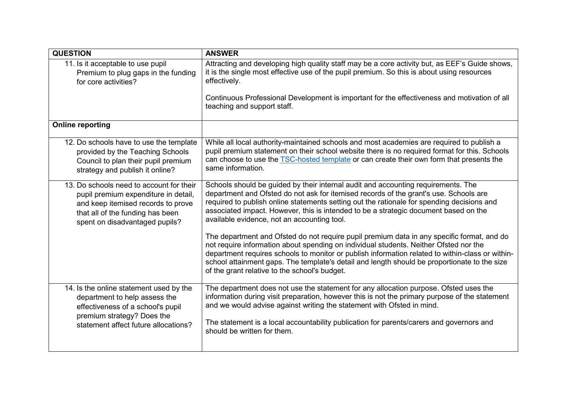| <b>QUESTION</b>                          | <b>ANSWER</b>                                                                                                                                                                                                                                                                                                                                                                                                                            |
|------------------------------------------|------------------------------------------------------------------------------------------------------------------------------------------------------------------------------------------------------------------------------------------------------------------------------------------------------------------------------------------------------------------------------------------------------------------------------------------|
| 11. Is it acceptable to use pupil        | Attracting and developing high quality staff may be a core activity but, as EEF's Guide shows,                                                                                                                                                                                                                                                                                                                                           |
| Premium to plug gaps in the funding      | it is the single most effective use of the pupil premium. So this is about using resources                                                                                                                                                                                                                                                                                                                                               |
| for core activities?                     | effectively.                                                                                                                                                                                                                                                                                                                                                                                                                             |
|                                          | Continuous Professional Development is important for the effectiveness and motivation of all<br>teaching and support staff.                                                                                                                                                                                                                                                                                                              |
| <b>Online reporting</b>                  |                                                                                                                                                                                                                                                                                                                                                                                                                                          |
| 12. Do schools have to use the template  | While all local authority-maintained schools and most academies are required to publish a                                                                                                                                                                                                                                                                                                                                                |
| provided by the Teaching Schools         | pupil premium statement on their school website there is no required format for this. Schools                                                                                                                                                                                                                                                                                                                                            |
| Council to plan their pupil premium      | can choose to use the <b>TSC-hosted template</b> or can create their own form that presents the                                                                                                                                                                                                                                                                                                                                          |
| strategy and publish it online?          | same information.                                                                                                                                                                                                                                                                                                                                                                                                                        |
| 13. Do schools need to account for their | Schools should be guided by their internal audit and accounting requirements. The                                                                                                                                                                                                                                                                                                                                                        |
| pupil premium expenditure in detail,     | department and Ofsted do not ask for itemised records of the grant's use. Schools are                                                                                                                                                                                                                                                                                                                                                    |
| and keep itemised records to prove       | required to publish online statements setting out the rationale for spending decisions and                                                                                                                                                                                                                                                                                                                                               |
| that all of the funding has been         | associated impact. However, this is intended to be a strategic document based on the                                                                                                                                                                                                                                                                                                                                                     |
| spent on disadvantaged pupils?           | available evidence, not an accounting tool.                                                                                                                                                                                                                                                                                                                                                                                              |
|                                          | The department and Ofsted do not require pupil premium data in any specific format, and do<br>not require information about spending on individual students. Neither Ofsted nor the<br>department requires schools to monitor or publish information related to within-class or within-<br>school attainment gaps. The template's detail and length should be proportionate to the size<br>of the grant relative to the school's budget. |
| 14. Is the online statement used by the  | The department does not use the statement for any allocation purpose. Ofsted uses the                                                                                                                                                                                                                                                                                                                                                    |
| department to help assess the            | information during visit preparation, however this is not the primary purpose of the statement                                                                                                                                                                                                                                                                                                                                           |
| effectiveness of a school's pupil        | and we would advise against writing the statement with Ofsted in mind.                                                                                                                                                                                                                                                                                                                                                                   |
| premium strategy? Does the               | The statement is a local accountability publication for parents/carers and governors and                                                                                                                                                                                                                                                                                                                                                 |
| statement affect future allocations?     | should be written for them.                                                                                                                                                                                                                                                                                                                                                                                                              |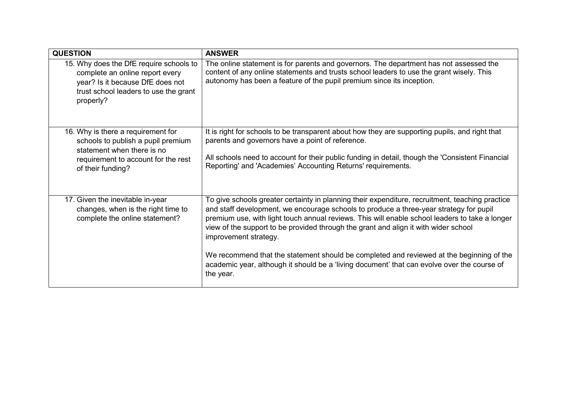| <b>QUESTION</b>                                                                                                                                                      | <b>ANSWER</b>                                                                                                                                                                                                                                                                                                                                                                                                                                                                                                                                                                                                       |
|----------------------------------------------------------------------------------------------------------------------------------------------------------------------|---------------------------------------------------------------------------------------------------------------------------------------------------------------------------------------------------------------------------------------------------------------------------------------------------------------------------------------------------------------------------------------------------------------------------------------------------------------------------------------------------------------------------------------------------------------------------------------------------------------------|
| 15. Why does the DfE require schools to<br>complete an online report every<br>year? Is it because DfE does not<br>trust school leaders to use the grant<br>properly? | The online statement is for parents and governors. The department has not assessed the<br>content of any online statements and trusts school leaders to use the grant wisely. This<br>autonomy has been a feature of the pupil premium since its inception.                                                                                                                                                                                                                                                                                                                                                         |
| 16. Why is there a requirement for<br>schools to publish a pupil premium<br>statement when there is no<br>requirement to account for the rest<br>of their funding?   | It is right for schools to be transparent about how they are supporting pupils, and right that<br>parents and governors have a point of reference.<br>All schools need to account for their public funding in detail, though the 'Consistent Financial<br>Reporting' and 'Academies' Accounting Returns' requirements.                                                                                                                                                                                                                                                                                              |
| 17. Given the inevitable in-year<br>changes, when is the right time to<br>complete the online statement?                                                             | To give schools greater certainty in planning their expenditure, recruitment, teaching practice<br>and staff development, we encourage schools to produce a three-year strategy for pupil<br>premium use, with light touch annual reviews. This will enable school leaders to take a longer<br>view of the support to be provided through the grant and align it with wider school<br>improvement strategy.<br>We recommend that the statement should be completed and reviewed at the beginning of the<br>academic year, although it should be a 'living document' that can evolve over the course of<br>the year. |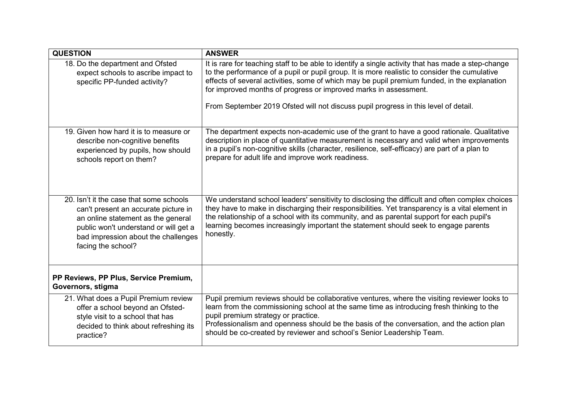| <b>QUESTION</b>                                                                                                                                                                                                             | <b>ANSWER</b>                                                                                                                                                                                                                                                                                                                                                                                                                                                  |
|-----------------------------------------------------------------------------------------------------------------------------------------------------------------------------------------------------------------------------|----------------------------------------------------------------------------------------------------------------------------------------------------------------------------------------------------------------------------------------------------------------------------------------------------------------------------------------------------------------------------------------------------------------------------------------------------------------|
| 18. Do the department and Ofsted<br>expect schools to ascribe impact to<br>specific PP-funded activity?                                                                                                                     | It is rare for teaching staff to be able to identify a single activity that has made a step-change<br>to the performance of a pupil or pupil group. It is more realistic to consider the cumulative<br>effects of several activities, some of which may be pupil premium funded, in the explanation<br>for improved months of progress or improved marks in assessment.<br>From September 2019 Ofsted will not discuss pupil progress in this level of detail. |
| 19. Given how hard it is to measure or<br>describe non-cognitive benefits<br>experienced by pupils, how should<br>schools report on them?                                                                                   | The department expects non-academic use of the grant to have a good rationale. Qualitative<br>description in place of quantitative measurement is necessary and valid when improvements<br>in a pupil's non-cognitive skills (character, resilience, self-efficacy) are part of a plan to<br>prepare for adult life and improve work readiness.                                                                                                                |
| 20. Isn't it the case that some schools<br>can't present an accurate picture in<br>an online statement as the general<br>public won't understand or will get a<br>bad impression about the challenges<br>facing the school? | We understand school leaders' sensitivity to disclosing the difficult and often complex choices<br>they have to make in discharging their responsibilities. Yet transparency is a vital element in<br>the relationship of a school with its community, and as parental support for each pupil's<br>learning becomes increasingly important the statement should seek to engage parents<br>honestly.                                                            |
| PP Reviews, PP Plus, Service Premium,<br>Governors, stigma                                                                                                                                                                  |                                                                                                                                                                                                                                                                                                                                                                                                                                                                |
| 21. What does a Pupil Premium review<br>offer a school beyond an Ofsted-<br>style visit to a school that has<br>decided to think about refreshing its<br>practice?                                                          | Pupil premium reviews should be collaborative ventures, where the visiting reviewer looks to<br>learn from the commissioning school at the same time as introducing fresh thinking to the<br>pupil premium strategy or practice.<br>Professionalism and openness should be the basis of the conversation, and the action plan<br>should be co-created by reviewer and school's Senior Leadership Team.                                                         |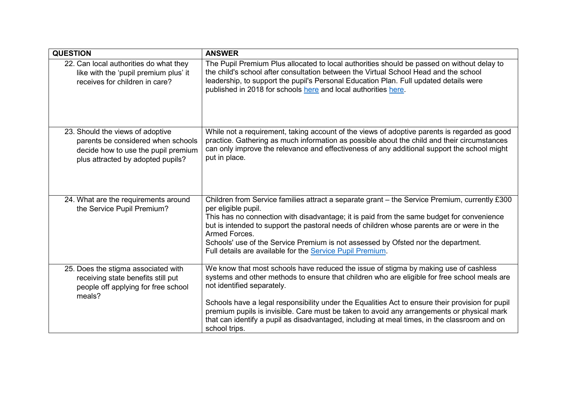| <b>QUESTION</b>                                                                                                                                    | <b>ANSWER</b>                                                                                                                                                                                                                                                                                                                                                                                                                                                                                                                         |
|----------------------------------------------------------------------------------------------------------------------------------------------------|---------------------------------------------------------------------------------------------------------------------------------------------------------------------------------------------------------------------------------------------------------------------------------------------------------------------------------------------------------------------------------------------------------------------------------------------------------------------------------------------------------------------------------------|
| 22. Can local authorities do what they<br>like with the 'pupil premium plus' it<br>receives for children in care?                                  | The Pupil Premium Plus allocated to local authorities should be passed on without delay to<br>the child's school after consultation between the Virtual School Head and the school<br>leadership, to support the pupil's Personal Education Plan. Full updated details were<br>published in 2018 for schools here and local authorities here.                                                                                                                                                                                         |
| 23. Should the views of adoptive<br>parents be considered when schools<br>decide how to use the pupil premium<br>plus attracted by adopted pupils? | While not a requirement, taking account of the views of adoptive parents is regarded as good<br>practice. Gathering as much information as possible about the child and their circumstances<br>can only improve the relevance and effectiveness of any additional support the school might<br>put in place.                                                                                                                                                                                                                           |
| 24. What are the requirements around<br>the Service Pupil Premium?                                                                                 | Children from Service families attract a separate grant – the Service Premium, currently £300<br>per eligible pupil.<br>This has no connection with disadvantage; it is paid from the same budget for convenience<br>but is intended to support the pastoral needs of children whose parents are or were in the<br>Armed Forces.<br>Schools' use of the Service Premium is not assessed by Ofsted nor the department.<br>Full details are available for the Service Pupil Premium.                                                    |
| 25. Does the stigma associated with<br>receiving state benefits still put<br>people off applying for free school<br>meals?                         | We know that most schools have reduced the issue of stigma by making use of cashless<br>systems and other methods to ensure that children who are eligible for free school meals are<br>not identified separately.<br>Schools have a legal responsibility under the Equalities Act to ensure their provision for pupil<br>premium pupils is invisible. Care must be taken to avoid any arrangements or physical mark<br>that can identify a pupil as disadvantaged, including at meal times, in the classroom and on<br>school trips. |